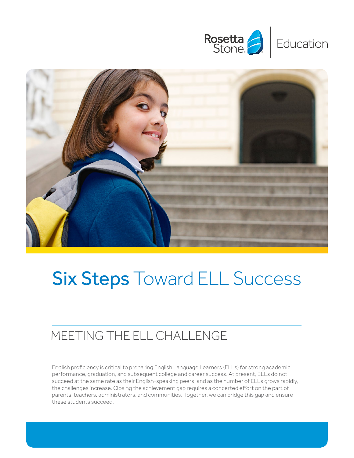



# Six Steps Toward ELL Success

#### MEETING THE ELL CHALLENGE

English proficiency is critical to preparing English Language Learners (ELLs) for strong academic performance, graduation, and subsequent college and career success. At present, ELLs do not succeed at the same rate as their English-speaking peers, and as the number of ELLs grows rapidly, the challenges increase. Closing the achievement gap requires a concerted effort on the part of parents, teachers, administrators, and communities. Together, we can bridge this gap and ensure these students succeed.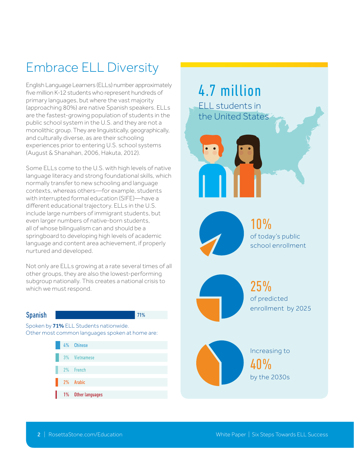## Embrace ELL Diversity

English Language Learners (ELLs) number approximately five million K-12 students who represent hundreds of primary languages, but where the vast majority (approaching 80%) are native Spanish speakers. ELLs are the fastest-growing population of students in the public school system in the U.S. and they are not a monolithic group. They are linguistically, geographically, and culturally diverse, as are their schooling experiences prior to entering U.S. school systems (August & Shanahan, 2006, Hakuta, 2012).

Some ELLs come to the U.S. with high levels of native language literacy and strong foundational skills, which normally transfer to new schooling and language contexts, whereas others—for example, students with interrupted formal education (SIFE)—have a different educational trajectory. ELLs in the U.S. include large numbers of immigrant students, but even larger numbers of native-born students, all of whose bilingualism can and should be a springboard to developing high levels of academic language and content area achievement, if properly nurtured and developed.

Not only are ELLs growing at a rate several times of all other groups, they are also the lowest-performing subgroup nationally. This creates a national crisis to which we must respond.

#### **Spanish**

71%

Spoken by 71% ELL Students nationwide. Other most common languages spoken at home are:



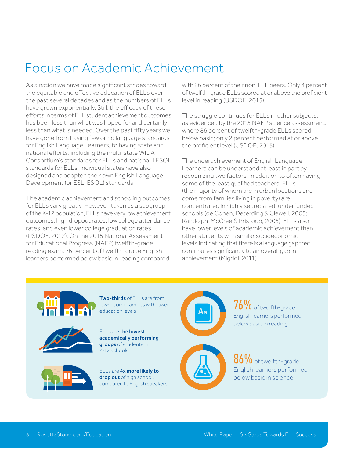## Focus on Academic Achievement

As a nation we have made significant strides toward the equitable and effective education of ELLs over the past several decades and as the numbers of ELLs have grown exponentially. Still, the efficacy of these efforts in terms of ELL student achievement outcomes has been less than what was hoped for and certainly less than what is needed. Over the past fifty years we have gone from having few or no language standards for English Language Learners, to having state and national efforts, including the multi-state WIDA Consortium's standards for ELLs and national TESOL standards for ELLs. Individual states have also designed and adopted their own English Language Development (or ESL, ESOL) standards.

The academic achievement and schooling outcomes for ELLs vary greatly. However, taken as a subgroup of the K-12 population, ELLs have very low achievement outcomes, high dropout rates, low college attendance rates, and even lower college graduation rates (USDOE, 2012). On the 2015 National Assessment for Educational Progress (NAEP) twelfth-grade reading exam, 76 percent of twelfth-grade English learners performed below basic in reading compared

with 26 percent of their non-ELL peers. Only 4 percent of twelfth-grade ELLs scored at or above the proficient level in reading (USDOE, 2015).

The struggle continues for ELLs in other subjects, as evidenced by the 2015 NAEP science assessment, where 86 percent of twelfth-grade ELLs scored below basic; only 2 percent performed at or above the proficient level (USDOE, 2015).

The underachievement of English Language Learners can be understood at least in part by recognizing two factors. In addition to often having some of the least qualified teachers, ELLs (the majority of whom are in urban locations and come from families living in poverty) are concentrated in highly segregated, underfunded schools (de Cohen, Deterding & Clewell, 2005; Randolph-McCree & Pristoop, 2005). ELLs also have lower levels of academic achievement than other students with similar socioeconomic levels,indicating that there is a language gap that contributes significantly to an overall gap in achievement (Migdol, 2011).







ELLs are the lowest academically performing groups of students in K-12 schools.



ELLs are 4x more likely to drop out of high school, compared to English speakers.



 $76\%$  of twelfth-grade English learners performed below basic in reading

86% of twelfth-grade English learners performed below basic in science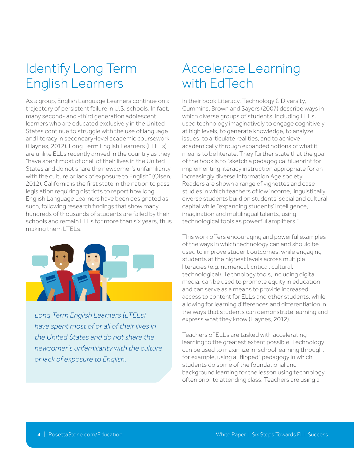## Identify Long Term English Learners

As a group, English Language Learners continue on a trajectory of persistent failure in U.S. schools. In fact, many second- and -third generation adolescent learners who are educated exclusively in the United States continue to struggle with the use of language and literacy in secondary-level academic coursework (Haynes, 2012). Long Term English Learners (LTELs) are unlike ELLs recently arrived in the country as they "have spent most of or all of their lives in the United States and do not share the newcomer's unfamiliarity with the culture or lack of exposure to English" (Olsen, 2012). California is the first state in the nation to pass legislation requiring districts to report how long English Language Learners have been designated as such, following research findings that show many hundreds of thousands of students are failed by their schools and remain ELLs for more than six years, thus making them LTELs.



*Long Term English Learners (LTELs) have spent most of or all of their lives in the United States and do not share the newcomer's unfamiliarity with the culture or lack of exposure to English.*

#### Accelerate Learning with EdTech

In their book Literacy, Technology & Diversity, Cummins, Brown and Sayers (2007) describe ways in which diverse groups of students, including ELLs, used technology imaginatively to engage cognitively at high levels, to generate knowledge, to analyze issues, to articulate realities, and to achieve academically through expanded notions of what it means to be literate. They further state that the goal of the book is to "sketch a pedagogical blueprint for implementing literacy instruction appropriate for an increasingly diverse Information Age society." Readers are shown a range of vignettes and case studies in which teachers of low income, linguistically diverse students build on students' social and cultural capital while "expanding students' intelligence, imagination and multilingual talents, using technological tools as powerful amplifiers."

This work offers encouraging and powerful examples of the ways in which technology can and should be used to improve student outcomes, while engaging students at the highest levels across multiple literacies (e.g. numerical, critical, cultural, technological). Technology tools, including digital media, can be used to promote equity in education and can serve as a means to provide increased access to content for ELLs and other students, while allowing for learning differences and differentiation in the ways that students can demonstrate learning and express what they know (Haynes, 2012).

Teachers of ELLs are tasked with accelerating learning to the greatest extent possible. Technology can be used to maximize in-school learning through, for example, using a "flipped" pedagogy in which students do some of the foundational and background learning for the lesson using technology, often prior to attending class. Teachers are using a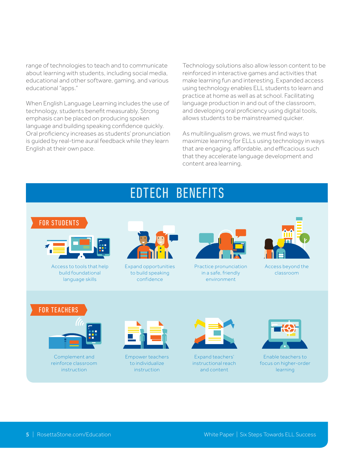range of technologies to teach and to communicate about learning with students, including social media, educational and other software, gaming, and various educational "apps."

When English Language Learning includes the use of technology, students benefit measurably. Strong emphasis can be placed on producing spoken language and building speaking confidence quickly. Oral proficiency increases as students' pronunciation is guided by real-time aural feedback while they learn English at their own pace.

Technology solutions also allow lesson content to be reinforced in interactive games and activities that make learning fun and interesting. Expanded access using technology enables ELL students to learn and practice at home as well as at school. Facilitating language production in and out of the classroom, and developing oral proficiency using digital tools, allows students to be mainstreamed quicker.

As multilingualism grows, we must find ways to maximize learning for ELLs using technology in ways that are engaging, affordable, and efficacious such that they accelerate language development and content area learning.

#### EDTECH BENEFITS

#### FOR STUDENTS



Access to tools that help build foundational language skills



Expand opportunities to build speaking confidence



Practice pronunciation in a safe, friendly environment



Access beyond the classroom

#### FOR TEACHERS



Complement and reinforce classroom instruction



Empower teachers to individualize instruction



Expand teachers' instructional reach and content



Enable teachers to focus on higher-order learning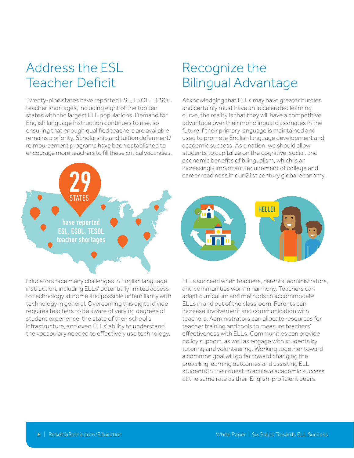## Address the ESL Teacher Deficit

Twenty-nine states have reported ESL, ESOL, TESOL teacher shortages, including eight of the top ten states with the largest ELL populations. Demand for English language instruction continues to rise, so ensuring that enough qualified teachers are available remains a priority. Scholarship and tuition deferment/ reimbursement programs have been established to encourage more teachers to fill these critical vacancies.



Recognize the

future if their primary language is maintained and used to promote English language development and academic success. As a nation, we should allow students to capitalize on the cognitive, social, and economic benefits of bilingualism, which is an increasingly important requirement of college and career readiness in our 21st century global economy.



Educators face many challenges in English language instruction, including ELLs' potentially limited access to technology at home and possible unfamiliarity with technology in general. Overcoming this digital divide requires teachers to be aware of varying degrees of student experience, the state of their school's infrastructure, and even ELLs' ability to understand the vocabulary needed to effectively use technology.



ELLs succeed when teachers, parents, administrators, and communities work in harmony. Teachers can adapt curriculum and methods to accommodate ELLs in and out of the classroom. Parents can increase involvement and communication with teachers. Administrators can allocate resources for teacher training and tools to measure teachers' effectiveness with ELLs. Communities can provide policy support, as well as engage with students by tutoring and volunteering. Working together toward a common goal will go far toward changing the prevailing learning outcomes and assisting ELL students in their quest to achieve academic success at the same rate as their English-proficient peers.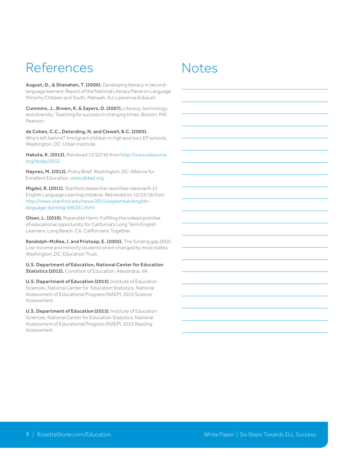## References Notes

August, D., & Shanahan, T. (2006). Developing literacy in secondlanguage learners: Report of the National Literacy Panel on Language Minority Children and Youth. Mahwah, NJ: Lawrence Eribaum

Cummins, J., Brown, K. & Sayers, D. (2007). Literacy, technology, and diversity: Teaching for success in changing times. Boston, MA: Pearson.

de Cohen, C.C., Deterding, N. and Clewell, B.C. (2005). Who's left behind? Immigrant children in high and low LEP schools. Washington, DC: Urban Institute.

Hakuta, K. (2012). Retrieved 12/22/16 from [http://www.edsource.](http://www.edsource.org/today/2012) [org/today/2012](http://www.edsource.org/today/2012)

Haynes, M. (2012). Policy Brief. Washington, DC: Alliance for Excellent Education. [www.all4ed.org](http://www.all4ed.org)

Migdol, R. (2011). Stanford researcher launches national K-12 English Language Learning initiative. Retrieved on 12/22/16 from [http://news.stanford.edu/news/2011/september/english](http://news.stanford.edu/news/2011/september/english-language-learning-091311.html)[language-learning-091311.html](http://news.stanford.edu/news/2011/september/english-language-learning-091311.html)

Olsen, L. (2010). Reparable Harm: Fulfilling the unkept promise of educational opportunity for California's Long Term English Learners. Long Beach, CA: Californians Together.

Randolph-McRee, I. and Pristoop, E. (2005). The funding gap 2005: Low-income and minority students short-changed by most states. Washington, DC: Education Trust.

U.S. Department of Education, National Center for Education Statistics (2012). Condition of Education. Alexandria, VA.

U.S. Department of Education (2015), Institute of Education Sciences, National Center for Education Statistics, National Assessment of Educational Progress (NAEP), 2015 Science Assessment.

U.S. Department of Education (2015), Institute of Education Sciences, National Center for Education Statistics, National Assessment of Educational Progress (NAEP), 2015 Reading Assessment.